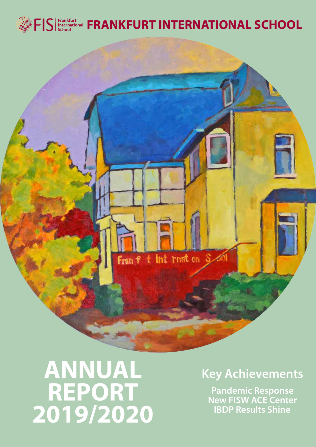

## **EIS Frankfurt FRANKFURT INTERNATIONAL SCHOOL**

Fran f t Int rnat on

# **ANNUAL REPORT 2019/2020**

## **Key Achievements**

**Pandemic Response New FISW ACE Center IBDP Results Shine**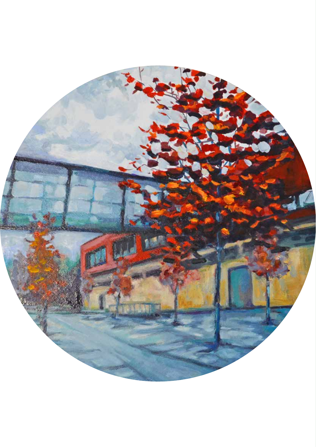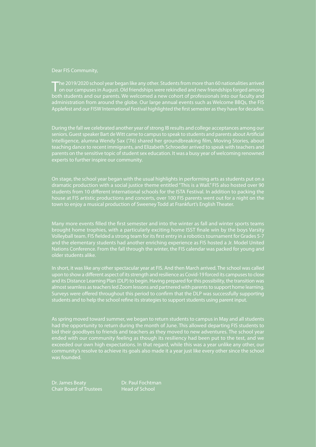The 2019/2020 school year began like any other. Students from more than 60 nationalities arrived on our campuses in August. Old friendships were rekindled and new friendships forged among administration from around the globe. Our large annual events such as Welcome BBQs, the FIS Applefest and our FISW International Festival highlighted the first semester as they have for decades.

During the fall we celebrated another year of strong IB results and college acceptances among our Intelligence, alumna Wendy Sax ('76) shared her groundbreaking film, Moving Stories, about teaching dance to recent immigrants, and Elizabeth Schroeder arrived to speak with teachers and parents on the sensitive topic of student sex education. It was a busy year of welcoming renowned

On stage, the school year began with the usual highlights in performing arts as students put on a students from 10 different international schools for the ISTA Festival. In addition to packing the house at FIS artistic productions and concerts, over 100 FIS parents went out for a night on the town to enjoy a musical production of Sweeney Todd at Frankfurt's English Theater.

brought home trophies, with a particularly exciting home ISST finale win by the boys Varsity Volleyball team. FIS fielded a strong team for its first entry in a robotics tournament for Grades 5-7 and the elementary students had another enriching experience as FIS hosted a Jr. Model United Nations Conference. From the fall through the winter, the FIS calendar was packed for young and older students alike.

upon to show a different aspect of its strength and resilience as Covid-19 forced its campuses to close and its Distance Learning Plan (DLP) to begin. Having prepared for this possibility, the transition was almost seamless as teachers led Zoom lessons and partnered with parents to support home learning. Surveys were offered throughout this period to confirm that the DLP was successfully supporting students and to help the school refine its strategies to support students using parent input.

As spring moved toward summer, we began to return students to campus in May and all students had the opportunity to return during the month of June. This allowed departing FIS students to bid their goodbyes to friends and teachers as they moved to new adventures. The school year ended with our community feeling as though its resiliency had been put to the test, and we exceeded our own high expectations. In that regard, while this was a year unlike any other, our community's resolve to achieve its goals also made it a year just like every other since the school was founded.

Dr. James Beaty Dr. Paul Fochtman Chair Board of Trustees Head of School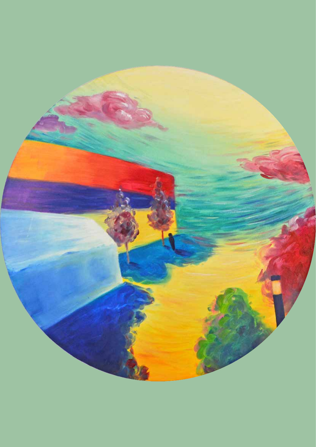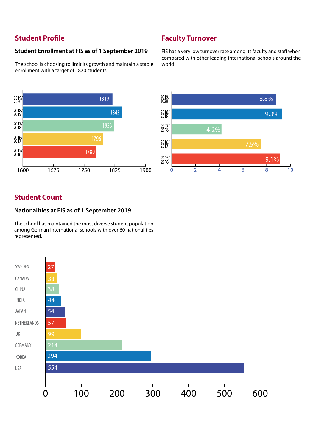#### **Student Profile**

#### **Student Enrollment at FIS as of 1 September 2019**

The school is choosing to limit its growth and maintain a stable enrollment with a target of 1820 students.



FIS has a very low turnover rate among its faculty and staff when compared with other leading international schools around the world.





#### **Student Count**

#### **Nationalities at FIS as of 1 September 2019**

The school has maintained the most diverse student population among German international schools with over 60 nationalities represented.

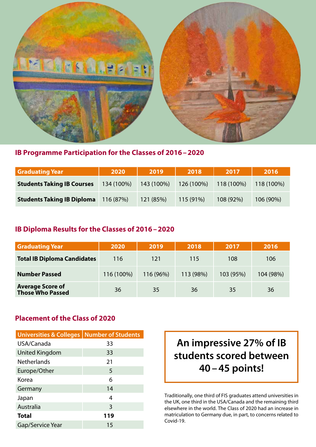

#### **IB Programme Participation for the Classes of 2016–2020**

| <b>Graduating Year</b>            | 2020       | 2019       | 2018       | 2017       | 2016       |
|-----------------------------------|------------|------------|------------|------------|------------|
| <b>Students Taking IB Courses</b> | 134 (100%) | 143 (100%) | 126 (100%) | 118 (100%) | 118 (100%) |
| <b>Students Taking IB Diploma</b> | 116 (87%)  | 121 (85%)  | 115 (91%)  | 108 (92%)  | 106 (90%)  |

#### **IB Diploma Results for the Classes of 2016–2020**

| <b>Graduating Year</b>                             | 2020       | 2019      | 2018      | 2017      | 2016      |
|----------------------------------------------------|------------|-----------|-----------|-----------|-----------|
| <b>Total IB Diploma Candidates</b>                 | 116        | 121       | 115       | 108       | 106       |
| <b>Number Passed</b>                               | 116 (100%) | 116 (96%) | 113 (98%) | 103 (95%) | 104 (98%) |
| <b>Average Score of</b><br><b>Those Who Passed</b> | 36         | 35        | 36        | 35        | 36        |

#### **Placement of the Class of 2020**

| Universities & Colleges   Number of Students |     |
|----------------------------------------------|-----|
| USA/Canada                                   | 33  |
| United Kingdom                               | 33  |
| <b>Netherlands</b>                           | 21  |
| Europe/Other                                 | 5   |
| Korea                                        | 6   |
| Germany                                      | 14  |
| Japan                                        | 4   |
| Australia                                    | 3   |
| <b>Total</b>                                 | 119 |
| Gap/Service Year                             | 15  |

## **An impressive 27% of IB students scored between 40–45 points!**

Traditionally, one third of FIS graduates attend universities in the UK, one third in the USA/Canada and the remaining third elsewhere in the world. The Class of 2020 had an increase in matriculation to Germany due, in part, to concerns related to Covid-19.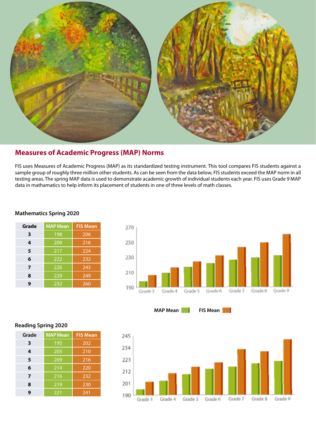

#### **Measures of Academic Progress (MAP) Norms**

FIS uses Measures of Academic Progress (MAP) as its standardized testing instrument. This tool compares FIS students against a sample group of roughly three million other students. As can be seen from the data below, FIS students exceed the MAP norm in all testing areas. The spring MAP data is used to demonstrate academic growth of individual students each year. FIS uses Grade 9 MAP data in mathamatics to help inform its placement of students in one of three levels of math classes.

| Grade | <b>MAP</b> Mean | <b>FIS Mean</b> |
|-------|-----------------|-----------------|
| 3     | 198             | 206             |
| 4     | 209             | 216             |
| 5     | 217             | 224             |
| 6     | 222             | 232             |
| 7     | 226             | 243             |
| 8     | 229             | 249             |
| 9     | 232             | 260             |

#### **Mathematics Spring 2020**





**MAP Mean FIS Mean**



#### **Reading Spring 2020**

| Grade | <b>MAP</b> Mean | <b>FIS Mean</b> |
|-------|-----------------|-----------------|
| 3     | 195             | 202             |
| 4     | 203             | 210             |
| 5     | 209             | 216             |
| 6     | 214             | 220             |
| 7     | 216             | 232             |
| 8     | 219             | 230             |
| 9     | 221             | 241             |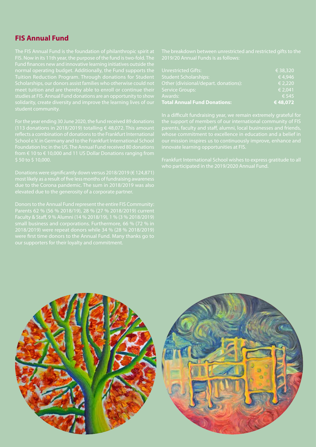#### **FIS Annual Fund**

FIS. Now in its 11th year, the purpose of the fund is two-fold. The Fund finances new and innovative learning initiatives outside the solidarity, create diversity and improve the learning lives of our

Donors to the Annual Fund represent the entire FIS Community: Faculty & Staff, 9 % Alumni (14 % 2018/19), 1 % (3 % 2018/2019) 2019/20 Annual Funds is as follows:

| <b>Unrestricted Gifts:</b>            | € 38.320         |
|---------------------------------------|------------------|
| <b>Student Scholarships:</b>          | €4.946           |
| Other (divisional/depart. donations): | $\epsilon$ 2.220 |
| <b>Service Groups:</b>                | $\epsilon$ 2.041 |
| Awards:                               | $\epsilon$ 545   |
| <b>Total Annual Fund Donations:</b>   | €48,072          |

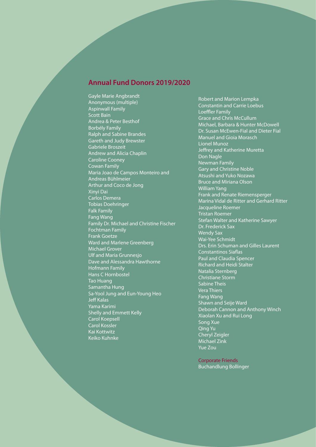#### **Annual Fund Donors 2019/2020**

Gayle Marie Angbrandt Anonymous (multiple) Aspinwall Family Scott Bain Andrea & Peter Besthof Borbély Family Ralph and Sabine Brandes Gareth and Judy Brewster Gabriele Broszeit Andrew and Alicia Chaplin Caroline Cooney Cowan Family Maria Joao de Campos Monteiro and Andreas Bühlmeier Arthur and Coco de Jong Xinyi Dai Carlos Demera Tobias Doehringer Falk Family Fang Wang Family Dr. Michael and Christine Fischer Fochtman Family Frank Goetze Ward and Marlene Greenberg Michael Grover Ulf and Maria Grunnesjo Dave and Alessandra Hawthorne Hofmann Family Hans C Hornbostel Tao Huang Samantha Hung Sa-Yool Jung and Eun-Young Heo Jeff Kalas Yama Karimi Shelly and Emmett Kelly Carol Koepsell Carol Kossler Kai Kottwitz Keiko Kuhnke

Robert and Marion Lempka Constantin and Carrie Loebus Loeffler Family Grace and Chris McCullum Michael, Barbara & Hunter McDowell Dr. Susan McEwen-Fial and Dieter Fial Manuel and Gioia Morasch Lionel Munoz Jeffrey and Katherine Muretta Don Nagle Newman Family Gary and Christine Noble Atsushi and Yuko Nozawa Bruce and Miriana Olson William Yang Frank and Renate Riemensperger Marina Vidal de Ritter and Gerhard Ritter Jacqueline Roemer Tristan Roemer Stefan Walter and Katherine Sawyer Dr. Frederick Sax Wendy Sax Wai-Yee Schmidt Drs. Erin Schuman and Gilles Laurent Constantinos Siaflas Paul and Claudia Spencer Richard and Heidi Stalter Natalia Sternberg Christiane Storm Sabine Theis Vera Thiers Fang Wang Shawn and Seije Ward Deborah Cannon and Anthony Winch Xiaolan Xu and Rui Long Song Xue Qing Yu Cheryl Zeigler Michael Zink Yue Zou

Corporate Friends Buchandlung Bollinger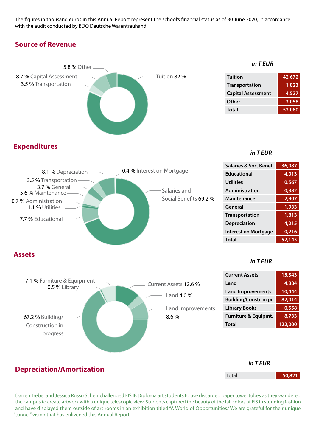The figures in thousand euros in this Annual Report represent the school's financial status as of 30 June 2020, in accordance with the audit conducted by BDO Deutsche Warentreuhand.

#### **Source of Revenue**



**Expenditures**



**Tuition 42,672 Transportation 1,823 Capital Assessment 4,527 Other 3,058 Total 52,080**

*in T EUR*

|                                             |                            | Salaries & Soc. Benef.      | 36,087 |
|---------------------------------------------|----------------------------|-----------------------------|--------|
| 8.1 % Depreciation                          | 0.4 % Interest on Mortgage |                             | 4,013  |
| 3.5 % Transportation                        |                            | <b>Utilities</b>            | 0,567  |
| <b>3.7 % General -</b><br>5.6 % Maintenance | Salaries and               | <b>Administration</b>       | 0,382  |
| 0.7 % Administration                        | Social Benefits 69.2 %     | Maintenance                 | 2,907  |
| 1.1 % Utilities                             |                            | General                     | 1,933  |
| 7.7 % Educational                           |                            | <b>Transportation</b>       | 1,813  |
|                                             |                            | <b>Depreciation</b>         | 4,215  |
|                                             |                            | <b>Interest on Mortgage</b> | 0,216  |
|                                             |                            | <b>Total</b>                | 52,145 |
|                                             |                            |                             |        |

**Assets** 

#### *in T EUR*



Darren Trebel and Jessica Russo Scherr challenged FIS IB Diploma art students to use discarded paper towel tubes as they wandered the campus to create artwork with a unique telescopic view. Students captured the beauty of the fall colors at FIS in stunning fashion and have displayed them outside of art rooms in an exhibition titled "A World of Opportunities." We are grateful for their unique "tunnel" vision that has enlivened this Annual Report.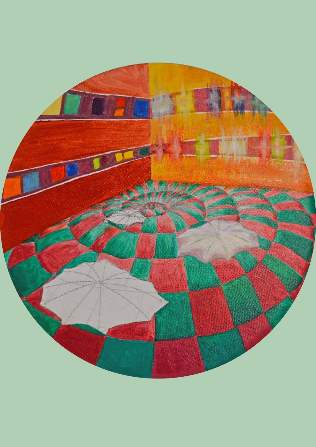